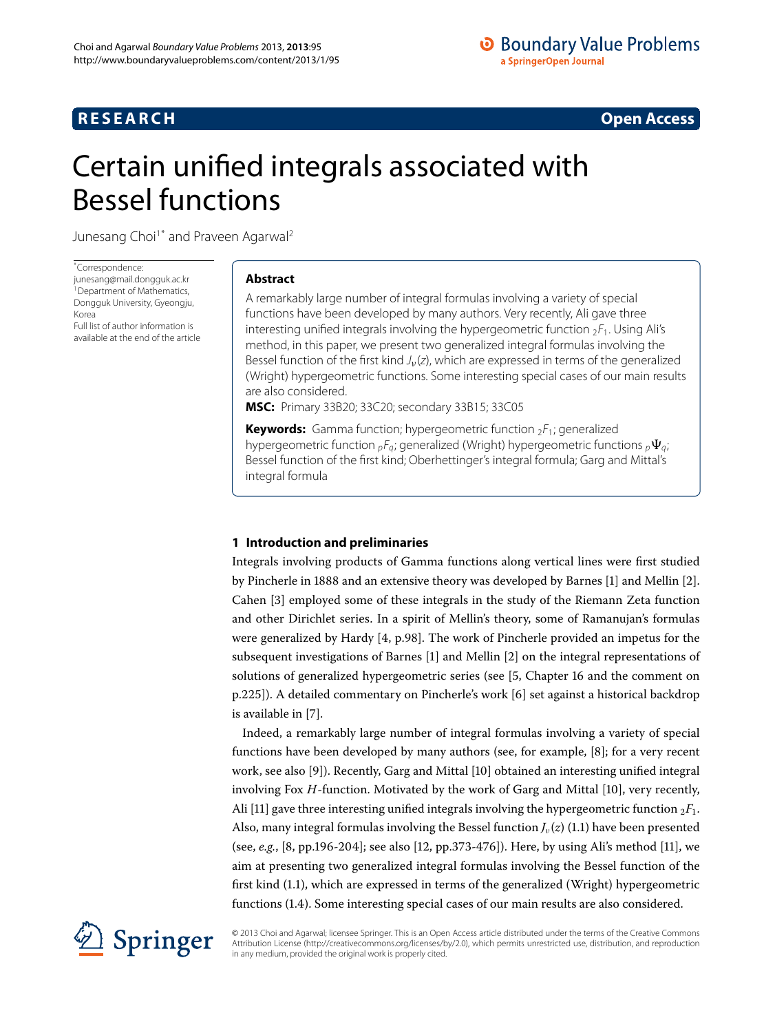## **RESEARCH CONSTRUCTED ACCESS**

# <span id="page-0-0"></span>Certain unified integrals associated with Bessel functions

Junesang Choi<sup>1[\\*](#page-0-0)</sup> and Praveen Agarwal<sup>2</sup>

\* Correspondence:

[junesang@mail.dongguk.ac.kr](mailto:junesang@mail.dongguk.ac.kr) <sup>1</sup> Department of Mathematics, Dongguk University, Gyeongju, Korea Full list of author information is available at the end of the article

## **Abstract**

A remarkably large number of integral formulas involving a variety of special functions have been developed by many authors. Very recently, Ali gave three interesting unified integrals involving the hypergeometric function  ${}_{2}F_1$ . Using Ali's method, in this paper, we present two generalized integral formulas involving the Bessel function of the first kind J<sub>*v*</sub>(z), which are expressed in terms of the generalized (Wright) hypergeometric functions. Some interesting special cases of our main results are also considered.

**MSC:** Primary 33B20; 33C20; secondary 33B15; 33C05

**Keywords:** Gamma function; hypergeometric function  ${}_{2}F_{1}$ ; generalized hypergeometric function  ${}_{p}F_{q}$ ; generalized (Wright) hypergeometric functions  ${}_{p}\Psi_{q}$ ; Bessel function of the first kind; Oberhettinger's integral formula; Garg and Mittal's integral formula

## **1 Introduction and preliminaries**

Integrals involving products of Gamma functions along vertical lines were first studied by Pincherle in 1888 and an extensive theory was developed by Barnes  $[1]$  $[1]$  and Mellin  $[2]$ . Cahen [3] employed some of these integrals in the study of the Riemann Zeta function and other Dirichlet series. In a spirit of Mellin's theory, some of Ramanujan's formulas were generalized by Hardy  $[4, p.98]$ . The work of Pincherle provided an impetus for the subsequent investigations of Barnes [1[\]](#page-8-1) and Mellin [2] on the integral representations of solutions of generalized hypergeometric series (see [5[,](#page-8-4) Chapter 16 and the comment on p.225]). A detailed commentary on Pincherle's work [6] set against a historical backdrop is available in [7].

Indeed, a remarkably large number of integral formulas involving a variety of special functions have been developed by many authors (see, for example, [\[](#page-8-7)8]; for a very recent work, see also [\[](#page-8-8)9]). Recently, Garg and Mittal [10] obtained an interesting unified integral involving Fox *H*-function. Motivated by the work of Garg and Mittal [\[](#page-8-9)10], very recently, Ali [11[\]](#page-8-10) gave three interesting unified integrals involving the hypergeometric function  ${}_{2}F_{1}$ . Also, many integral formulas involving the Bessel function  $J_{\nu}(z)$  (1.1) have been presented (see[,](#page-8-7) *e.g.*, [8, pp.196-204[\]](#page-8-10); see also [12, pp.373-476]). Here, by using Ali's method [11], we aim at presenting two generalized integral formulas involving the Bessel function of the first kind  $(1.1)$  $(1.1)$  $(1.1)$ , which are expressed in terms of the generalized (Wright) hypergeometric functions  $(1.4)$ . Some interesting special cases of our main results are also considered.



© 2013 Choi and Agarwal; licensee Springer. This is an Open Access article distributed under the terms of the Creative Commons Attribution License [\(http://creativecommons.org/licenses/by/2.0](http://creativecommons.org/licenses/by/2.0)), which permits unrestricted use, distribution, and reproduction in any medium, provided the original work is properly cited.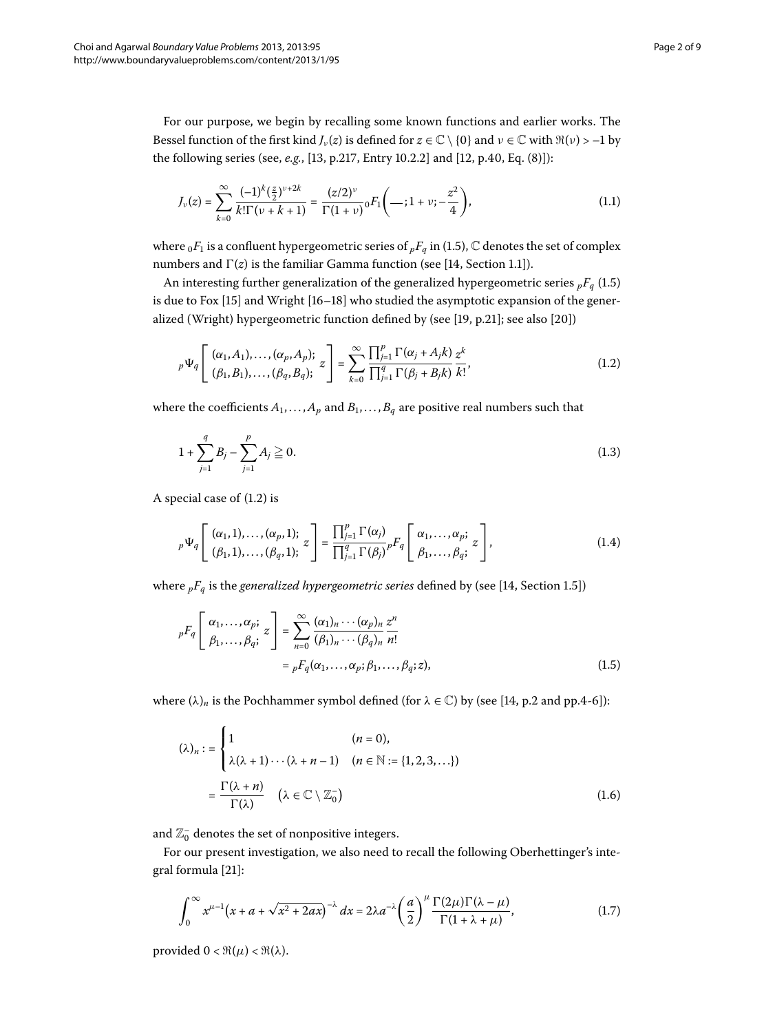For our purpose, we begin by recalling some known functions and earlier works. The Bessel function of the first kind *J<sub>v</sub>*(*z*) is defined for  $z \in \mathbb{C} \setminus \{0\}$  and  $\nu \in \mathbb{C}$  with  $\Re(\nu) > -1$  by the following series (see[,](#page-8-11) *e.g.*, [13, p.217, Entry 10.2.2] and [12, p.40, Eq. (8)]):

<span id="page-1-3"></span><span id="page-1-0"></span>
$$
J_{\nu}(z) = \sum_{k=0}^{\infty} \frac{(-1)^k (\frac{z}{2})^{\nu+2k}}{k!\Gamma(\nu+k+1)} = \frac{(z/2)^{\nu}}{\Gamma(1+\nu)} {}_0F_1\left(\longrightarrow; 1+\nu; -\frac{z^2}{4}\right),\tag{1.1}
$$

where  ${}_0F_1$  is a confluent hypergeometric series of  ${}_pF_q$  in (1.5), C denotes the set of complex numbers and  $\Gamma(z)$  is the familiar Gamma function (see [14[,](#page-8-13) Section 1.1]).

An interesting further generalization of the generalized hypergeometric series  ${}_{p}F_{q}$  (1[.](#page-1-2)5) is due to Fox  $[15]$  $[15]$  and Wright  $[16-18]$  who studied the asymptotic expansion of the gener-alized (Wright) hypergeometric function defined by (see [19[,](#page-8-17) p.21]; see also [20])

$$
{}_{p}\Psi_{q}\left[\begin{array}{c}(\alpha_{1},A_{1}),\ldots,(\alpha_{p},A_{p});\\(\beta_{1},B_{1}),\ldots,(\beta_{q},B_{q});\end{array}z\right]=\sum_{k=0}^{\infty}\frac{\prod_{j=1}^{p}\Gamma(\alpha_{j}+A_{j}k)}{\prod_{j=1}^{q}\Gamma(\beta_{j}+B_{j}k)}\frac{z^{k}}{k!},\tag{1.2}
$$

where the coefficients  $A_1, \ldots, A_p$  and  $B_1, \ldots, B_q$  are positive real numbers such that

<span id="page-1-1"></span>
$$
1 + \sum_{j=1}^{q} B_j - \sum_{j=1}^{p} A_j \ge 0.
$$
\n(1.3)

<span id="page-1-2"></span>A special case of  $(1.2)$  $(1.2)$  $(1.2)$  is

$$
{}_{p}\Psi_{q}\left[\begin{array}{c}(\alpha_{1},1),\ldots,(\alpha_{p},1);\\(\beta_{1},1),\ldots,(\beta_{q},1);\\\end{array}z\right]=\frac{\prod_{j=1}^{p}\Gamma(\alpha_{j})}{\prod_{j=1}^{q}\Gamma(\beta_{j})}{}_{p}F_{q}\left[\begin{array}{c}\alpha_{1},\ldots,\alpha_{p};\\ \beta_{1},\ldots,\beta_{q};\\\end{array}z\right],\tag{1.4}
$$

<span id="page-1-5"></span>where  ${}_{p}F_{q}$  is the *generalized hypergeometric series* defined by (see [14[,](#page-8-13) Section 1.5])

$$
{}_{p}F_{q}\left[\begin{array}{c} \alpha_{1},\ldots,\alpha_{p};\\ \beta_{1},\ldots,\beta_{q}; \end{array}z\right] = \sum_{n=0}^{\infty} \frac{(\alpha_{1})_{n}\cdots(\alpha_{p})_{n}}{(\beta_{1})_{n}\cdots(\beta_{q})_{n}} \frac{z^{n}}{n!}
$$

$$
= {}_{p}F_{q}(\alpha_{1},\ldots,\alpha_{p};\beta_{1},\ldots,\beta_{q};z), \qquad (1.5)
$$

where  $(\lambda)_n$  is the Pochhammer symbol defined (for  $\lambda \in \mathbb{C}$ ) by (see [14[,](#page-8-13) p.2 and pp.4-6]):

<span id="page-1-4"></span>
$$
(\lambda)_n := \begin{cases} 1 & (n = 0), \\ \lambda(\lambda + 1) \cdots (\lambda + n - 1) & (n \in \mathbb{N} := \{1, 2, 3, \ldots\}) \end{cases}
$$

$$
= \frac{\Gamma(\lambda + n)}{\Gamma(\lambda)} \quad (\lambda \in \mathbb{C} \setminus \mathbb{Z}_0^-)
$$
(1.6)

and  $\mathbb{Z}^+_0$  denotes the set of nonpositive integers.

For our present investigation, we also need to recall the following Oberhettinger's inte-gral formula [\[](#page-8-19)21]:

$$
\int_0^\infty x^{\mu-1} \big(x + a + \sqrt{x^2 + 2ax}\big)^{-\lambda} dx = 2\lambda a^{-\lambda} \left(\frac{a}{2}\right)^{\mu} \frac{\Gamma(2\mu)\Gamma(\lambda - \mu)}{\Gamma(1 + \lambda + \mu)},\tag{1.7}
$$

provided  $0 < \Re(\mu) < \Re(\lambda)$ .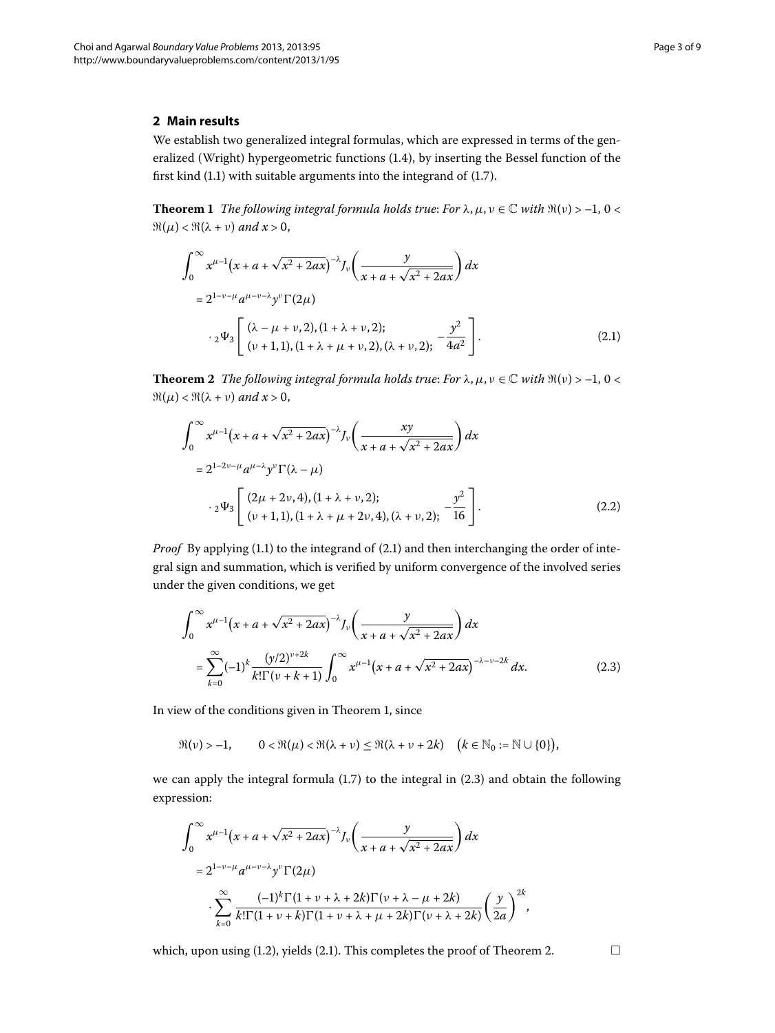## <span id="page-2-1"></span>**2 Main results**

We establish two generalized integral formulas, which are expressed in terms of the generalized (Wright) hypergeometric functions  $(1.4)$ , by inserting the Bessel function of the first kind  $(1.1)$  $(1.1)$  $(1.1)$  with suitable arguments into the integrand of  $(1.7)$ .

**Theorem 1** The following integral formula holds true: For  $\lambda$ ,  $\mu$ ,  $\nu \in \mathbb{C}$  with  $\Re(\nu) > -1$ , 0 <  $\Re(\mu) < \Re(\lambda + \nu)$  and  $x > 0$ ,

<span id="page-2-3"></span><span id="page-2-0"></span>
$$
\int_0^{\infty} x^{\mu-1} (x + a + \sqrt{x^2 + 2ax})^{-\lambda} J_{\nu} \left( \frac{y}{x + a + \sqrt{x^2 + 2ax}} \right) dx
$$
  
=  $2^{1-\nu-\mu} a^{\mu-\nu-\lambda} y^{\nu} \Gamma(2\mu)$   

$$
\cdot 2^{\frac{1}{2} \left[ \frac{(\lambda - \mu + \nu, 2), (1 + \lambda + \nu, 2);}{(\nu + 1, 1), (1 + \lambda + \mu + \nu, 2), (\lambda + \nu, 2);} -\frac{y^2}{4a^2} \right]}.
$$
 (2.1)

**Theorem 2** The following integral formula holds true: For  $\lambda$ ,  $\mu$ ,  $\nu \in \mathbb{C}$  with  $\Re(\nu) > -1$ ,  $0 < \pi$  $\Re(\mu) < \Re(\lambda + \nu)$  and  $x > 0$ ,

<span id="page-2-4"></span>
$$
\int_0^\infty x^{\mu-1} (x + a + \sqrt{x^2 + 2ax})^{-\lambda} J_\nu \left( \frac{xy}{x + a + \sqrt{x^2 + 2ax}} \right) dx
$$
  
=  $2^{1-2\nu-\mu} a^{\mu-\lambda} y^\nu \Gamma(\lambda - \mu)$   
 $\cdot 2 \Psi_3 \left[ \frac{(2\mu + 2\nu, 4), (1 + \lambda + \nu, 2);}{(\nu + 1, 1), (1 + \lambda + \mu + 2\nu, 4), (\lambda + \nu, 2);} -\frac{y^2}{16} \right].$  (2.2)

*Proof* By applying (1[.](#page-1-0)1) to the integrand of (2.1) and then interchanging the order of integral sign and summation, which is verified by uniform convergence of the involved series under the given conditions, we get

<span id="page-2-2"></span>
$$
\int_0^\infty x^{\mu-1} (x + a + \sqrt{x^2 + 2ax})^{-\lambda} J_\nu \left( \frac{y}{x + a + \sqrt{x^2 + 2ax}} \right) dx
$$
  
= 
$$
\sum_{k=0}^\infty (-1)^k \frac{(y/2)^{\nu+2k}}{k!\Gamma(\nu+k+1)} \int_0^\infty x^{\mu-1} (x + a + \sqrt{x^2 + 2ax})^{-\lambda-\nu-2k} dx.
$$
 (2.3)

In view of the conditions given in Theorem 1, since

$$
\Re(\nu) > -1, \qquad 0 < \Re(\mu) < \Re(\lambda + \nu) \leq \Re(\lambda + \nu + 2k) \quad \big(k \in \mathbb{N}_0 := \mathbb{N} \cup \{0\}\big),
$$

we can apply the integral formula  $(1.7)$  to the integral in  $(2.3)$  and obtain the following expression:

$$
\int_0^\infty x^{\mu-1} \left(x + a + \sqrt{x^2 + 2ax}\right)^{-\lambda} J_\nu\left(\frac{y}{x + a + \sqrt{x^2 + 2ax}}\right) dx
$$
  
=  $2^{1-\nu-\mu} a^{\mu-\nu-\lambda} y^\nu \Gamma(2\mu)$   

$$
\cdot \sum_{k=0}^\infty \frac{(-1)^k \Gamma(1 + \nu + \lambda + 2k) \Gamma(\nu + \lambda - \mu + 2k)}{k! \Gamma(1 + \nu + k) \Gamma(1 + \nu + \lambda + \mu + 2k) \Gamma(\nu + \lambda + 2k)} \left(\frac{y}{2a}\right)^{2k},
$$

which, upon using (1[.](#page-2-3)2), yields (2.1). This completes the proof of Theorem 2.  $\Box$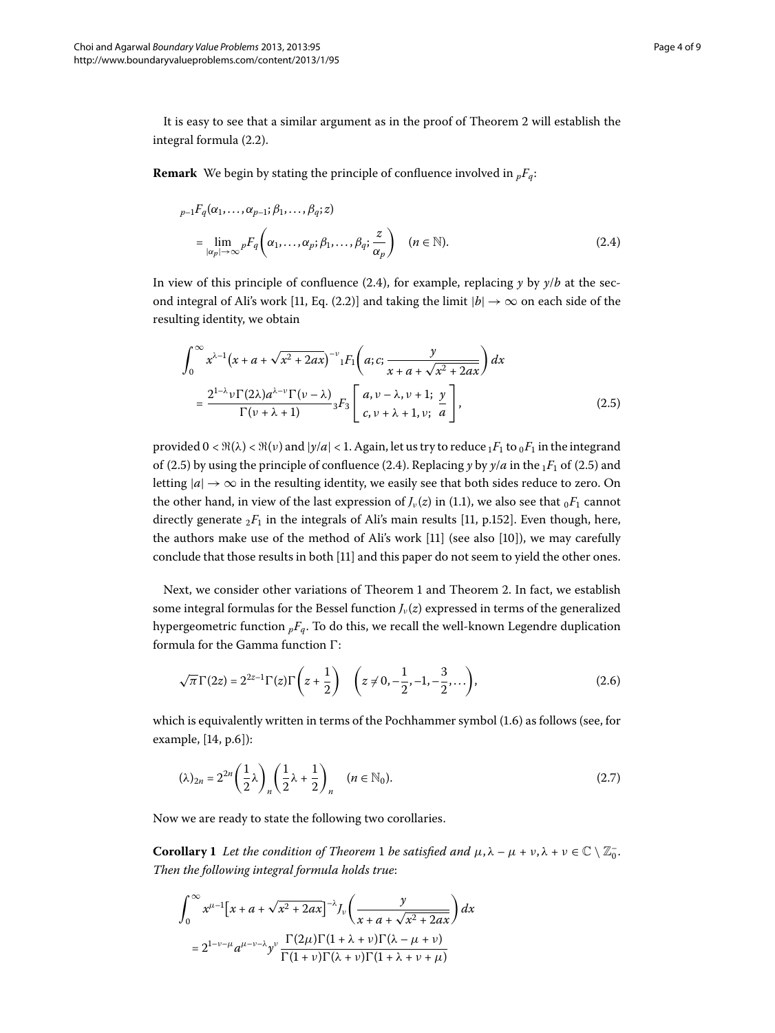It is easy to see that a similar argument as in the proof of Theorem 2 will establish the integral formula (2[.](#page-2-4)2).

**Remark** We begin by stating the principle of confluence involved in  $_pF_q$ :

<span id="page-3-0"></span>
$$
{}_{p-1}F_q(\alpha_1,\ldots,\alpha_{p-1};\beta_1,\ldots,\beta_q;z)
$$
  
= 
$$
\lim_{|\alpha_p|\to\infty} {}_{p}F_q\left(\alpha_1,\ldots,\alpha_p;\beta_1,\ldots,\beta_q;\frac{z}{\alpha_p}\right) \quad (n \in \mathbb{N}).
$$
 (2.4)

In view of this principle of confluence (2[.](#page-3-0)4), for example, replacing  $\gamma$  by  $\gamma/b$  at the second integral of Ali's work [11, Eq. (2.2)] and taking the limit  $|b| \to \infty$  on each side of the resulting identity, we obtain

<span id="page-3-1"></span>
$$
\int_0^\infty x^{\lambda-1} \left(x + a + \sqrt{x^2 + 2ax}\right)^{-\nu} {}_1F_1\left(a; c; \frac{y}{x + a + \sqrt{x^2 + 2ax}}\right) dx
$$
\n
$$
= \frac{2^{1-\lambda} \nu \Gamma(2\lambda) a^{\lambda-\nu} \Gamma(\nu-\lambda)}{\Gamma(\nu+\lambda+1)} {}_3F_3\left[a, \nu-\lambda, \nu+1; \frac{\nu}{a}\right],
$$
\n(2.5)

provided  $0 < \Re(\lambda) < \Re(\nu)$  and  $|\gamma/a| < 1$ . Again, let us try to reduce  ${}_1F_1$  to  ${}_0F_1$  in the integrand of (2[.](#page-3-0)5) by using the principle of confluence (2.4). Replacing *y* by  $y/a$  in the  $_1F_1$  of (2.5) and letting  $|a|\rightarrow\infty$  in the resulting identity, we easily see that both sides reduce to zero. On the other hand, in view of the last expression of  $J_{\nu}(z)$  in (1.1), we also see that  ${}_{0}F_{1}$  cannot directly generate  ${}_2F_1$  in the integrals of Ali's main results [\[](#page-8-10)11, p.152]. Even though, here, the authors make use of the method of Ali's work  $[11]$  $[11]$  (see also  $[10]$ ), we may carefully conclude that those results in both [11[\]](#page-8-10) and this paper do not seem to yield the other ones.

Next, we consider other variations of Theorem 1 and Theorem 2. In fact, we establish some integral formulas for the Bessel function  $J_\nu(z)$  expressed in terms of the generalized hypergeometric function  $pF_q$ . To do this, we recall the well-known Legendre duplication formula for the Gamma function  $\Gamma$ :

<span id="page-3-2"></span>
$$
\sqrt{\pi} \Gamma(2z) = 2^{2z-1} \Gamma(z) \Gamma\left(z + \frac{1}{2}\right) \quad \left(z \neq 0, -\frac{1}{2}, -1, -\frac{3}{2}, \dots\right),\tag{2.6}
$$

<span id="page-3-3"></span>which is equivalently written in terms of the Pochhammer symbol  $(1.6)$  as follows (see, for example,  $[14, p.6]$  $[14, p.6]$ :

$$
(\lambda)_{2n} = 2^{2n} \left(\frac{1}{2}\lambda\right)_n \left(\frac{1}{2}\lambda + \frac{1}{2}\right)_n \quad (n \in \mathbb{N}_0).
$$
 (2.7)

<span id="page-3-4"></span>Now we are ready to state the following two corollaries.

**Corollary 1** Let the condition of Theorem 1 be satisfied and  $\mu, \lambda - \mu + \nu, \lambda + \nu \in \mathbb{C} \setminus \mathbb{Z}_0^-.$ *Then the following integral formula holds true*:

$$
\int_0^\infty x^{\mu-1} \left[ x + a + \sqrt{x^2 + 2ax} \right]^{-\lambda} J_\nu \left( \frac{y}{x + a + \sqrt{x^2 + 2ax}} \right) dx
$$
  
=  $2^{1-\nu-\mu} a^{\mu-\nu-\lambda} y^\nu \frac{\Gamma(2\mu) \Gamma(1 + \lambda + \nu) \Gamma(\lambda - \mu + \nu)}{\Gamma(1 + \nu) \Gamma(\lambda + \nu) \Gamma(1 + \lambda + \nu + \mu)}$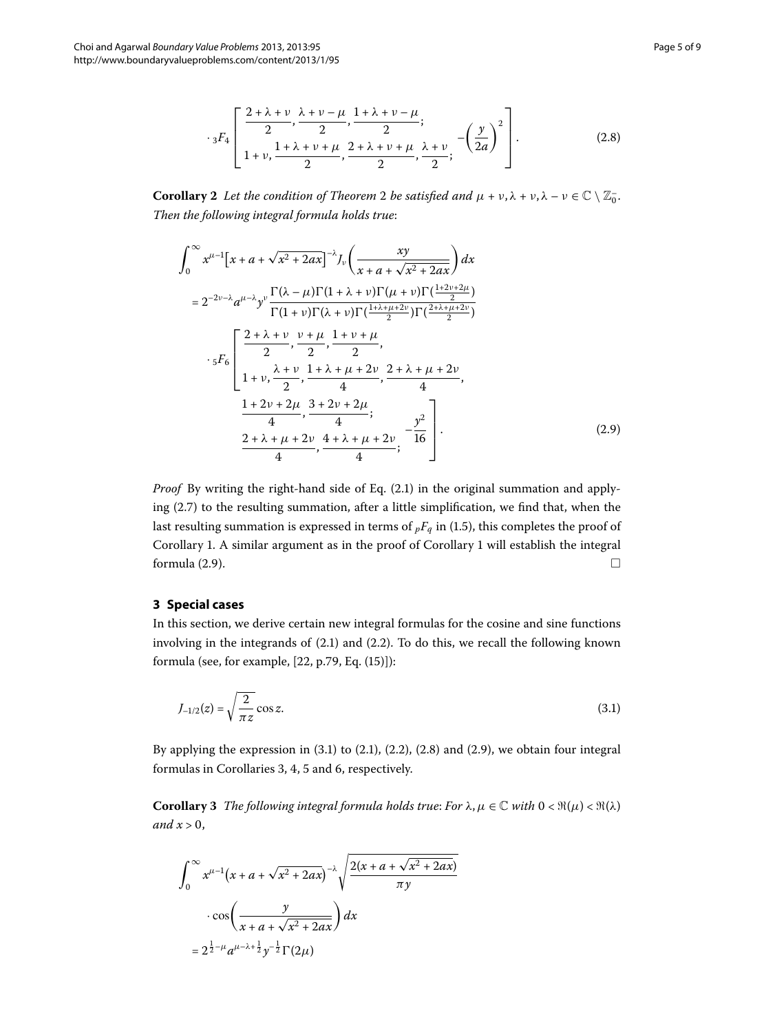$$
s_{3}F_{4}\left[\begin{array}{c} \frac{2+\lambda+\nu}{2}, \frac{\lambda+\nu-\mu}{2}, \frac{1+\lambda+\nu-\mu}{2};\\ 1+\nu, \frac{1+\lambda+\nu+\mu}{2}, \frac{2+\lambda+\nu+\mu}{2}, \frac{\lambda+\nu}{2}; \end{array} -\left(\frac{y}{2a}\right)^{2}\right].
$$
(2.8)

<span id="page-4-0"></span>**Corollary 2** Let the condition of Theorem 2 be satisfied and  $\mu + \nu, \lambda + \nu, \lambda - \nu \in \mathbb{C} \setminus \mathbb{Z}_0^-.$ *Then the following integral formula holds true*:

$$
\int_{0}^{\infty} x^{\mu-1} \left[ x + a + \sqrt{x^2 + 2ax} \right]^{-\lambda} J_{\nu} \left( \frac{xy}{x + a + \sqrt{x^2 + 2ax}} \right) dx
$$
  
\n
$$
= 2^{-2\nu - \lambda} a^{\mu - \lambda} y^{\nu} \frac{\Gamma(\lambda - \mu) \Gamma(1 + \lambda + \nu) \Gamma(\mu + \nu) \Gamma(\frac{1 + 2\nu + 2\mu}{2})}{\Gamma(1 + \nu) \Gamma(\lambda + \nu) \Gamma(\frac{1 + \lambda + \mu + 2\nu}{2}) \Gamma(\frac{2 + \lambda + \mu + 2\nu}{2})}
$$
  
\n
$$
\cdot 5F_6 \left[ \frac{2 + \lambda + \nu}{2}, \frac{\nu + \mu}{2}, \frac{1 + \nu + \mu}{2}, \frac{2 + \lambda + \mu + 2\nu}{4}, \frac{2 + \lambda + \mu + 2\nu}{4}, \frac{2 + \lambda + \mu + 2\nu}{4}, \frac{1 + 2\nu + 2\mu}{4}, \frac{3 + 2\nu + 2\mu}{4}; \frac{y^2}{4} \right].
$$
  
\n(2.9)

*Proof* By writing the right-hand side of Eq.  $(2.1)$  in the original summation and applying  $(2.7)$  to the resulting summation, after a little simplification, we find that, when the last resulting summation is expressed in terms of  $pF_q$  in (1[.](#page-1-2)5), this completes the proof of Corollary 1. A similar argument as in the proof of Corollary 1 will establish the integral formula  $(2.9)$ .

## **3 Special cases**

In this section, we derive certain new integral formulas for the cosine and sine functions involving in the integrands of  $(2.1)$  $(2.1)$  $(2.1)$  and  $(2.2)$ . To do this, we recall the following known formula (see, for example,  $[22, p.79, Eq. (15)]$  $[22, p.79, Eq. (15)]$ ):

<span id="page-4-2"></span><span id="page-4-1"></span>
$$
J_{-1/2}(z) = \sqrt{\frac{2}{\pi z}} \cos z.
$$
 (3.1)

<span id="page-4-3"></span>By applying the expression in  $(3.1)$  $(3.1)$  $(3.1)$  to  $(2.1)$ ,  $(2.2)$ ,  $(2.8)$  and  $(2.9)$ , we obtain four integral formulas in Corollaries 3[,](#page-5-2) 4, 5 and 6, respectively.

**Corollary 3** The following integral formula holds true: For  $\lambda, \mu \in \mathbb{C}$  with  $0 < \Re(\mu) < \Re(\lambda)$ *and*  $x > 0$ ,

$$
\int_0^\infty x^{\mu-1} \left(x + a + \sqrt{x^2 + 2ax}\right)^{-\lambda} \sqrt{\frac{2(x + a + \sqrt{x^2 + 2ax})}{\pi y}}
$$

$$
\cdot \cos\left(\frac{y}{x + a + \sqrt{x^2 + 2ax}}\right) dx
$$

$$
= 2^{\frac{1}{2} - \mu} a^{\mu - \lambda + \frac{1}{2}} y^{-\frac{1}{2}} \Gamma(2\mu)
$$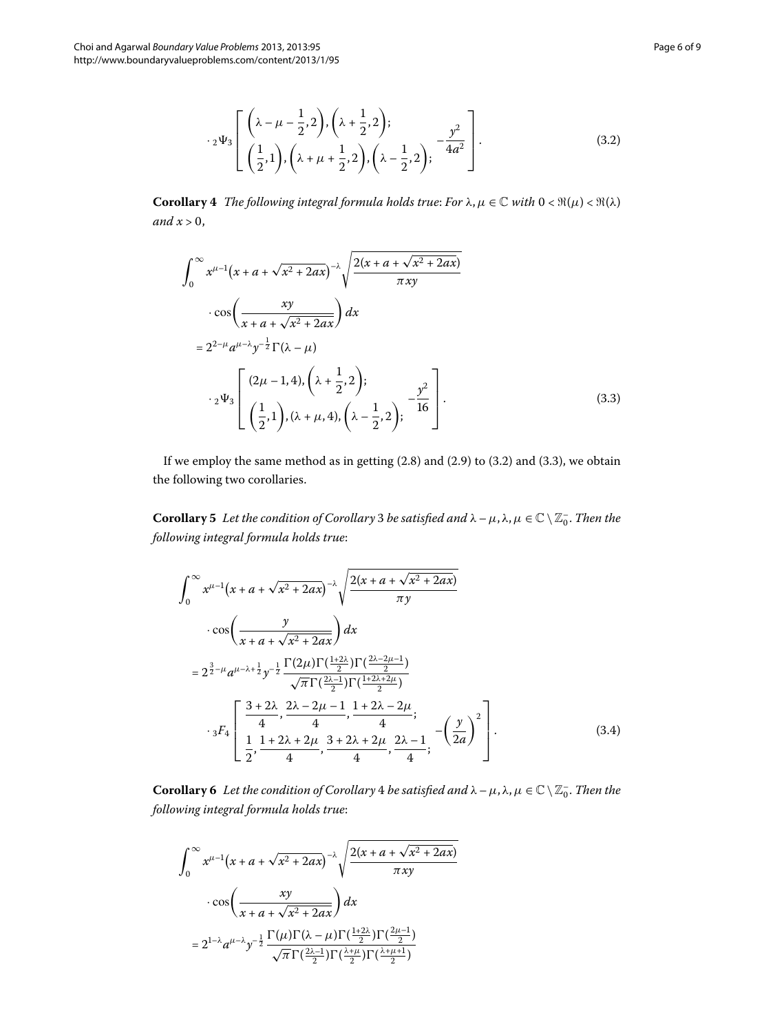<span id="page-5-0"></span>
$$
c_2\Psi_3\left[\begin{pmatrix} \lambda-\mu-\frac{1}{2},2\\ \left(\frac{1}{2},1\right), \left(\lambda+\mu+\frac{1}{2},2\right), \left(\lambda-\frac{1}{2},2\right), \end{pmatrix} - \frac{y^2}{4a^2}\right].
$$
\n(3.2)

**Corollary 4** *The following integral formula holds true: For*  $\lambda$ ,  $\mu \in \mathbb{C}$  *with*  $0 < \Re(\mu) < \Re(\lambda)$ and  $x > 0$ ,

<span id="page-5-3"></span>
$$
\int_0^{\infty} x^{\mu-1} (x + a + \sqrt{x^2 + 2ax})^{-\lambda} \sqrt{\frac{2(x + a + \sqrt{x^2 + 2ax})}{\pi xy}}
$$
  
\n
$$
\cdot \cos \left( \frac{xy}{x + a + \sqrt{x^2 + 2ax}} \right) dx
$$
  
\n
$$
= 2^{2-\mu} a^{\mu-\lambda} y^{-\frac{1}{2}} \Gamma(\lambda - \mu)
$$
  
\n
$$
\cdot 2^{\frac{1}{2}} \left[ \frac{(2\mu - 1, 4), (\lambda + \frac{1}{2}, 2)}{(\frac{1}{2}, 1), (\lambda + \mu, 4), (\lambda - \frac{1}{2}, 2)} \right].
$$
 (3.3)

<span id="page-5-1"></span>If we employ the same method as in getting  $(2.8)$  $(2.8)$  $(2.8)$  and  $(2.9)$  to  $(3.2)$  and  $(3.3)$ , we obtain the following two corollaries.

**Corollary** 5 Let the condition of Corollary 3 be satisfied and  $\lambda - \mu$ ,  $\lambda$ ,  $\mu \in \mathbb{C} \setminus \mathbb{Z}_0^-$ . Then the *following integral formula holds true*:

<span id="page-5-2"></span>
$$
\int_0^{\infty} x^{\mu-1} (x + a + \sqrt{x^2 + 2ax})^{-\lambda} \sqrt{\frac{2(x + a + \sqrt{x^2 + 2ax})}{\pi y}}
$$
  
\n
$$
\cdot \cos \left( \frac{y}{x + a + \sqrt{x^2 + 2ax}} \right) dx
$$
  
\n
$$
= 2^{\frac{3}{2} - \mu} a^{\mu - \lambda + \frac{1}{2}} y^{-\frac{1}{2}} \frac{\Gamma(2\mu) \Gamma(\frac{1 + 2\lambda}{2}) \Gamma(\frac{2\lambda - 2\mu - 1}{2})}{\sqrt{\pi} \Gamma(\frac{2\lambda - 1}{2}) \Gamma(\frac{1 + 2\lambda + 2\mu}{2})}
$$
  
\n
$$
\cdot \frac{1}{3} F_4 \left[ \frac{3 + 2\lambda}{4}, \frac{2\lambda - 2\mu - 1}{4}, \frac{1 + 2\lambda - 2\mu}{4}; \frac{2\lambda - 1}{4}, -\left(\frac{y}{2a}\right)^2 \right].
$$
  
\n(3.4)

**Corollary 6** Let the condition of Corollary 4 be satisfied and  $\lambda - \mu$ ,  $\lambda$ ,  $\mu \in \mathbb{C} \setminus \mathbb{Z}_0^-$ . Then the *following integral formula holds true*:

$$
\int_0^\infty x^{\mu-1} \left(x + a + \sqrt{x^2 + 2ax}\right)^{-\lambda} \sqrt{\frac{2(x + a + \sqrt{x^2 + 2ax})}{\pi xy}}
$$

$$
\cdot \cos\left(\frac{xy}{x + a + \sqrt{x^2 + 2ax}}\right) dx
$$

$$
= 2^{1-\lambda} a^{\mu-\lambda} y^{-\frac{1}{2}} \frac{\Gamma(\mu)\Gamma(\lambda - \mu)\Gamma(\frac{1+2\lambda}{2})\Gamma(\frac{2\mu-1}{2})}{\sqrt{\pi}\Gamma(\frac{2\lambda-1}{2})\Gamma(\frac{\lambda+\mu}{2})\Gamma(\frac{\lambda+\mu+1}{2})}
$$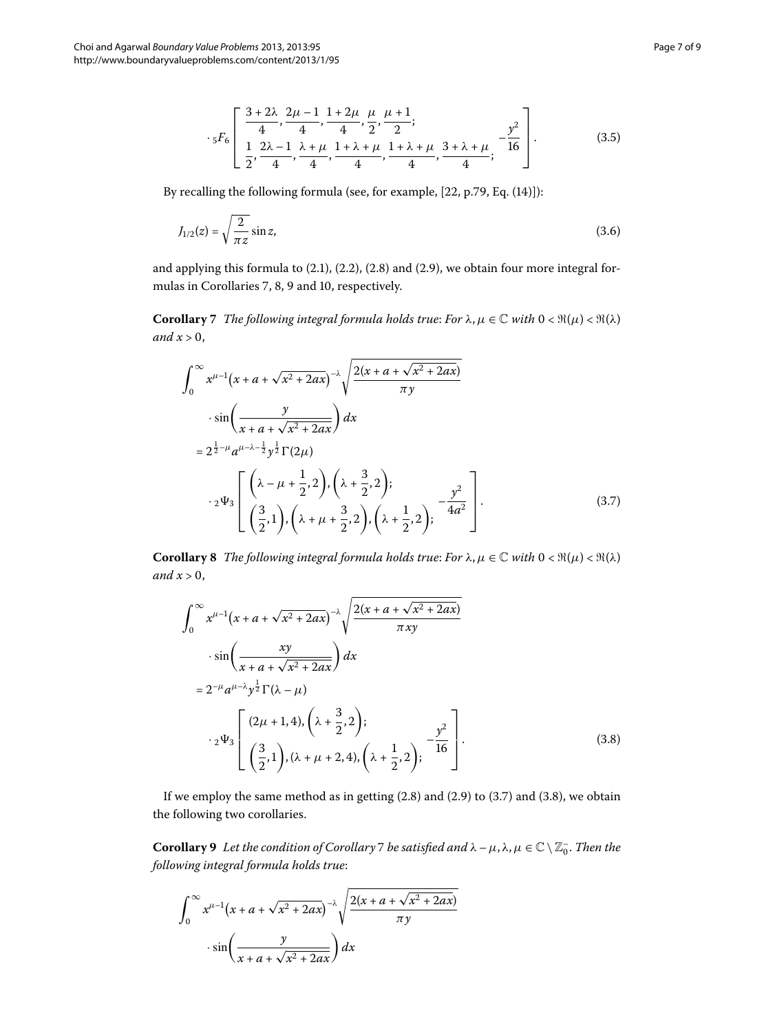$$
s_{5}F_{6}\left[\frac{3+2\lambda}{4}, \frac{2\mu-1}{4}, \frac{1+2\mu}{4}, \frac{\mu}{2}, \frac{\mu+1}{2};\frac{1}{2}+\frac{\lambda+\mu}{2}; \frac{1+\lambda+\mu}{2}; \frac{3+\lambda+\mu}{16}; -\frac{y^{2}}{16}\right].
$$
\n(3.5)

<span id="page-6-0"></span>By recalling the following formula (see[,](#page-8-20) for example,  $[22, p.79, Eq. (14)]$ ):

$$
J_{1/2}(z) = \sqrt{\frac{2}{\pi z}} \sin z,
$$
\n(3.6)

and applying this formula to  $(2.1)$  $(2.1)$  $(2.1)$ ,  $(2.2)$ ,  $(2.8)$  and  $(2.9)$ , we obtain four more integral for-mulas in Corollaries 7[,](#page-7-2) 8, 9 and 10, respectively.

**Corollary** 7 The following integral formula holds true: For  $\lambda, \mu \in \mathbb{C}$  with  $0 < \Re(\mu) < \Re(\lambda)$ and  $x > 0$ ,

<span id="page-6-3"></span><span id="page-6-1"></span>
$$
\int_0^\infty x^{\mu-1} (x + a + \sqrt{x^2 + 2ax})^{-\lambda} \sqrt{\frac{2(x + a + \sqrt{x^2 + 2ax})}{\pi y}}
$$
  
\n
$$
\cdot \sin\left(\frac{y}{x + a + \sqrt{x^2 + 2ax}}\right) dx
$$
  
\n
$$
= 2^{\frac{1}{2} - \mu} a^{\mu-\lambda-\frac{1}{2}} y^{\frac{1}{2}} \Gamma(2\mu)
$$
  
\n
$$
\cdot 2^{\frac{1}{2}} \left[ \left( \frac{\lambda - \mu + \frac{1}{2}, 2}{\frac{3}{2}}, \left( \lambda + \frac{3}{2}, 2 \right), \left( \lambda + \frac{1}{2}, 2 \right), -\frac{y^2}{4a^2} \right] \right].
$$
  
\n(3.7)

**Corollary 8** *The following integral formula holds true: For*  $\lambda, \mu \in \mathbb{C}$  *with*  $0 < \Re(\mu) < \Re(\lambda)$ *and*  $x > 0$ ,

<span id="page-6-4"></span>
$$
\int_0^\infty x^{\mu-1} (x + a + \sqrt{x^2 + 2ax})^{-\lambda} \sqrt{\frac{2(x + a + \sqrt{x^2 + 2ax})}{\pi xy}}
$$
  
\n
$$
\cdot \sin\left(\frac{xy}{x + a + \sqrt{x^2 + 2ax}}\right) dx
$$
  
\n
$$
= 2^{-\mu} a^{\mu-\lambda} y^{\frac{1}{2}} \Gamma(\lambda - \mu)
$$
  
\n
$$
\cdot 2 \Psi_3 \left[ \frac{(2\mu + 1, 4), (\lambda + \frac{3}{2}, 2)}{(\frac{3}{2}, 1), (\lambda + \mu + 2, 4), (\lambda + \frac{1}{2}, 2)} \right]^{-\frac{y^2}{16}}
$$
  
\n(3.8)

<span id="page-6-2"></span>If we employ the same method as in getting  $(2.8)$  $(2.8)$  $(2.8)$  and  $(2.9)$  to  $(3.7)$  and  $(3.8)$ , we obtain the following two corollaries.

**Corollary 9** Let the condition of Corollary 7 be satisfied and  $\lambda - \mu$ ,  $\lambda$ ,  $\mu \in \mathbb{C} \setminus \mathbb{Z}_0^-$ . Then the *following integral formula holds true*:

$$
\int_0^\infty x^{\mu-1} \left(x + a + \sqrt{x^2 + 2ax}\right)^{-\lambda} \sqrt{\frac{2(x + a + \sqrt{x^2 + 2ax})}{\pi y}}
$$

$$
\cdot \sin\left(\frac{y}{x + a + \sqrt{x^2 + 2ax}}\right) dx
$$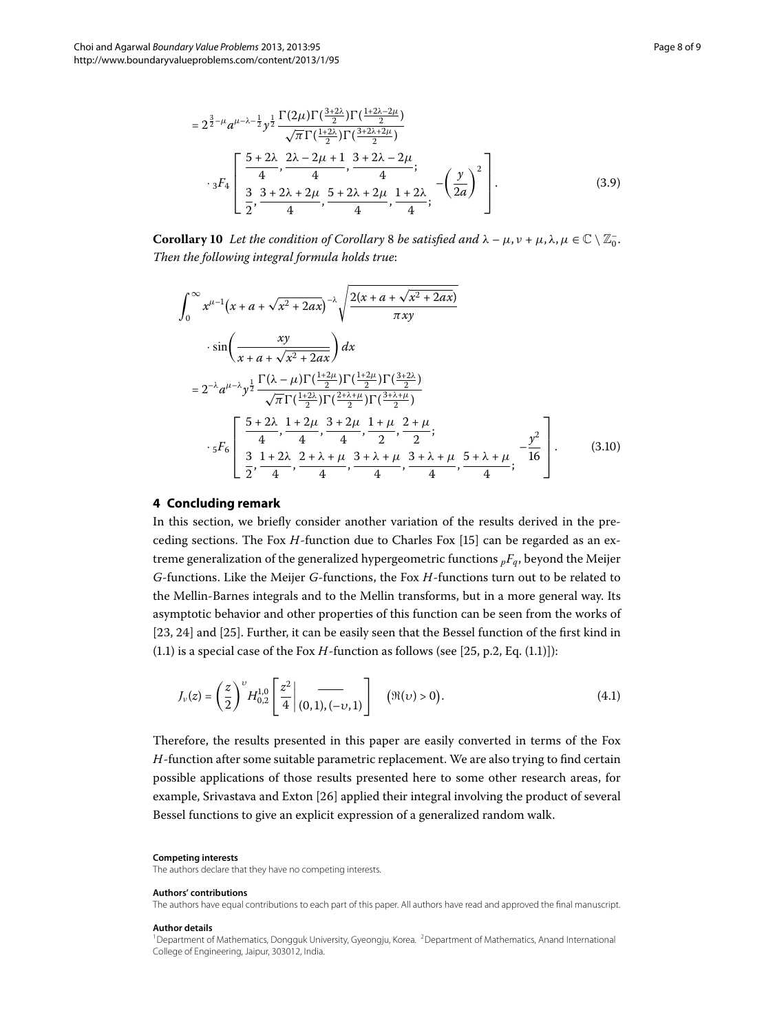<span id="page-7-2"></span>
$$
= 2^{\frac{3}{2}-\mu} a^{\mu-\lambda-\frac{1}{2}} y^{\frac{1}{2}} \frac{\Gamma(2\mu)\Gamma(\frac{3+2\lambda}{2})\Gamma(\frac{1+2\lambda-2\mu}{2})}{\sqrt{\pi}\Gamma(\frac{1+2\lambda}{2})\Gamma(\frac{3+2\lambda+2\mu}{2})}
$$

$$
\cdot {}_3F_4 \left[ \frac{\frac{5+2\lambda}{4}, \frac{2\lambda-2\mu+1}{4}, \frac{3+2\lambda-2\mu}{4}}{\frac{3}{2}, \frac{3+2\lambda+2\mu}{4}, \frac{5+2\lambda+2\mu}{4}, \frac{1+2\lambda}{4}}; -\left(\frac{y}{2a}\right)^2 \right].
$$
(3.9)

**Corollary 10** Let the condition of Corollary 8 be satisfied and  $\lambda - \mu$ ,  $\nu + \mu$ ,  $\lambda$ ,  $\mu \in \mathbb{C} \setminus \mathbb{Z}_0^-.$ *Then the following integral formula holds true*:

$$
\int_{0}^{\infty} x^{\mu-1} (x + a + \sqrt{x^2 + 2ax})^{-\lambda} \sqrt{\frac{2(x + a + \sqrt{x^2 + 2ax})}{\pi xy}}
$$
  
\n
$$
\cdot \sin \left( \frac{xy}{x + a + \sqrt{x^2 + 2ax}} \right) dx
$$
  
\n
$$
= 2^{-\lambda} a^{\mu-\lambda} y^{\frac{1}{2}} \frac{\Gamma(\lambda - \mu) \Gamma(\frac{1+2\mu}{2}) \Gamma(\frac{1+2\mu}{2}) \Gamma(\frac{3+2\lambda}{2})}{\sqrt{\pi} \Gamma(\frac{1+2\lambda}{2}) \Gamma(\frac{2+\lambda+\mu}{2}) \Gamma(\frac{3+\lambda+\mu}{2})}
$$
  
\n
$$
\cdot 5F_6 \left[ \frac{5 + 2\lambda}{4}, \frac{1+2\mu}{4}, \frac{3+2\mu}{4}, \frac{1+\mu}{2}, \frac{2+\mu}{2};
$$
  
\n
$$
\cdot \frac{3}{5}F_6 \left[ \frac{3}{2}, \frac{1+2\lambda}{4}, \frac{2+\lambda+\mu}{4}, \frac{3+\lambda+\mu}{4}, \frac{3+\lambda+\mu}{4}, \frac{5+\lambda+\mu}{4}; -\frac{y^2}{16} \right].
$$
 (3.10)

## **4 Concluding remark**

In this section, we briefly consider another variation of the results derived in the preceding sections. The Fox *H*-function due to Charles Fox [\[](#page-8-14)15] can be regarded as an extreme generalization of the generalized hypergeometric functions  ${}_{p}F_{q}$ , beyond the Meijer *G*-functions. Like the Meijer *G*-functions, the Fox *H*-functions turn out to be related to the Mellin-Barnes integrals and to the Mellin transforms, but in a more general way. Its asymptotic behavior and other properties of this function can be seen from the works of [23[,](#page-8-21) 24[\]](#page-8-23) and [25]. Further, it can be easily seen that the Bessel function of the first kind in (1[.](#page-1-0)1) is a special case of the Fox  $H$ -function as follows (see [25[,](#page-8-23) p.2, Eq. (1.1)]):

$$
J_{\nu}(z) = \left(\frac{z}{2}\right)^{\nu} H_{0,2}^{1,0}\left[\frac{z^2}{4}\bigg|_{(0,1),(-\nu,1)}\right] \quad (\Re(\nu) > 0). \tag{4.1}
$$

Therefore, the results presented in this paper are easily converted in terms of the Fox *H*-function after some suitable parametric replacement. We are also trying to find certain possible applications of those results presented here to some other research areas, for example, Srivastava and Exton [26] applied their integral involving the product of several Bessel functions to give an explicit expression of a generalized random walk.

#### <span id="page-7-1"></span><span id="page-7-0"></span>**Competing interests**

The authors declare that they have no competing interests.

#### **Authors' contributions**

The authors have equal contributions to each part of this paper. All authors have read and approved the final manuscript.

#### **Author details**

<sup>1</sup>Department of Mathematics, Dongguk University, Gyeongju, Korea. <sup>2</sup>Department of Mathematics, Anand International College of Engineering, Jaipur, 303012, India.